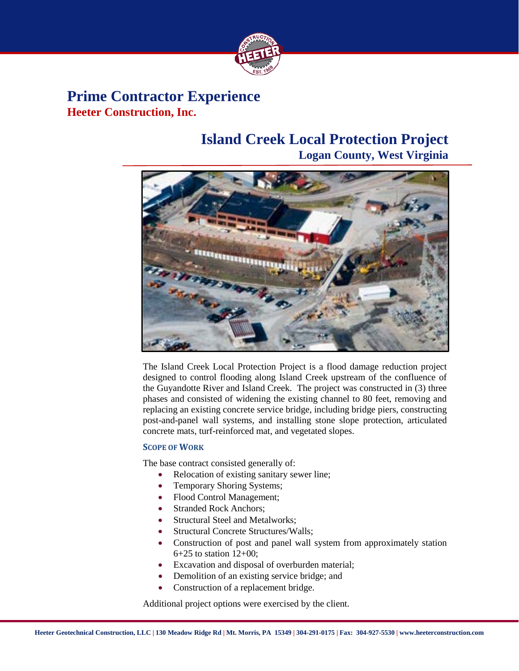

### **Prime Contractor Experience Heeter Construction, Inc.**

# **Island Creek Local Protection Project**

**Logan County, West Virginia**



The Island Creek Local Protection Project is a flood damage reduction project designed to control flooding along Island Creek upstream of the confluence of the Guyandotte River and Island Creek. The project was constructed in (3) three phases and consisted of widening the existing channel to 80 feet, removing and replacing an existing concrete service bridge, including bridge piers, constructing post-and-panel wall systems, and installing stone slope protection, articulated concrete mats, turf-reinforced mat, and vegetated slopes.

#### **SCOPE OF WORK**

The base contract consisted generally of:

- Relocation of existing sanitary sewer line;
- Temporary Shoring Systems;
- Flood Control Management;
- Stranded Rock Anchors:
- Structural Steel and Metalworks:
- Structural Concrete Structures/Walls;
- Construction of post and panel wall system from approximately station 6+25 to station 12+00;
- Excavation and disposal of overburden material;
- Demolition of an existing service bridge; and
- Construction of a replacement bridge.

Additional project options were exercised by the client.